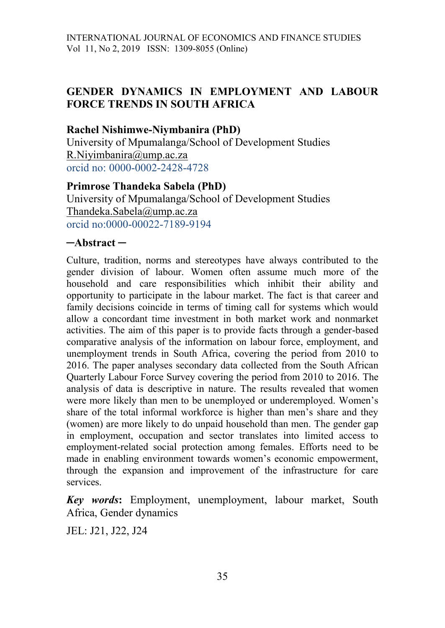### **GENDER DYNAMICS IN EMPLOYMENT AND LABOUR FORCE TRENDS IN SOUTH AFRICA**

### **Rachel Nishimwe-Niymbanira (PhD)**

University of Mpumalanga/School of Development Studies [R.Niyimbanira@ump.ac.za](mailto:R.Niyimbanira@ump.ac.za) orcid no: 0000-0002-2428-4728

#### **Primrose Thandeka Sabela (PhD)**

University of Mpumalanga/School of Development Studies [Thandeka.Sabela@ump.ac.za](mailto:Thandeka.Sabela@ump.ac.za) orcid no:0000-00022-7189-9194

#### **─Abstract ─**

Culture, tradition, norms and stereotypes have always contributed to the gender division of labour. Women often assume much more of the household and care responsibilities which inhibit their ability and opportunity to participate in the labour market. The fact is that career and family decisions coincide in terms of timing call for systems which would allow a concordant time investment in both market work and nonmarket activities. The aim of this paper is to provide facts through a gender-based comparative analysis of the information on labour force, employment, and unemployment trends in South Africa, covering the period from 2010 to 2016. The paper analyses secondary data collected from the South African Quarterly Labour Force Survey covering the period from 2010 to 2016. The analysis of data is descriptive in nature. The results revealed that women were more likely than men to be unemployed or underemployed. Women's share of the total informal workforce is higher than men's share and they (women) are more likely to do unpaid household than men. The gender gap in employment, occupation and sector translates into limited access to employment-related social protection among females. Efforts need to be made in enabling environment towards women's economic empowerment, through the expansion and improvement of the infrastructure for care services.

*Key words***:** Employment, unemployment, labour market, South Africa, Gender dynamics

JEL: J21, J22, J24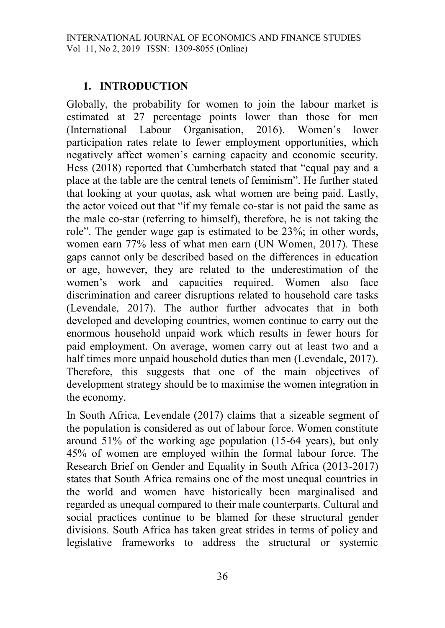# **1. INTRODUCTION**

Globally, the probability for women to join the labour market is estimated at 27 percentage points lower than those for men (International Labour Organisation, 2016). Women's lower participation rates relate to fewer employment opportunities, which negatively affect women's earning capacity and economic security. Hess (2018) reported that Cumberbatch stated that "equal pay and a place at the table are the central tenets of feminism". He further stated that looking at your quotas, ask what women are being paid. Lastly, the actor voiced out that "if my female co-star is not paid the same as the male co-star (referring to himself), therefore, he is not taking the role". The gender wage gap is estimated to be 23%; in other words, women earn 77% less of what men earn (UN Women, 2017). These gaps cannot only be described based on the differences in education or age, however, they are related to the underestimation of the women's work and capacities required. Women also face discrimination and career disruptions related to household care tasks (Levendale, 2017). The author further advocates that in both developed and developing countries, women continue to carry out the enormous household unpaid work which results in fewer hours for paid employment. On average, women carry out at least two and a half times more unpaid household duties than men (Levendale, 2017). Therefore, this suggests that one of the main objectives of development strategy should be to maximise the women integration in the economy.

In South Africa, Levendale (2017) claims that a sizeable segment of the population is considered as out of labour force. Women constitute around 51% of the working age population (15-64 years), but only 45% of women are employed within the formal labour force. The Research Brief on Gender and Equality in South Africa (2013-2017) states that South Africa remains one of the most unequal countries in the world and women have historically been marginalised and regarded as unequal compared to their male counterparts. Cultural and social practices continue to be blamed for these structural gender divisions. South Africa has taken great strides in terms of policy and legislative frameworks to address the structural or systemic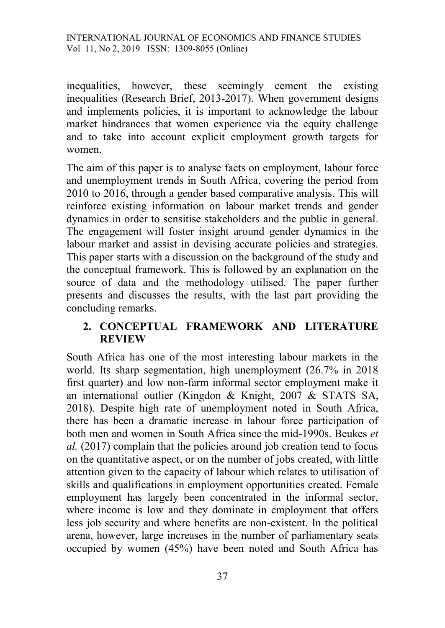inequalities, however, these seemingly cement the existing inequalities (Research Brief, 2013-2017). When government designs and implements policies, it is important to acknowledge the labour market hindrances that women experience via the equity challenge and to take into account explicit employment growth targets for women.

The aim of this paper is to analyse facts on employment, labour force and unemployment trends in South Africa, covering the period from 2010 to 2016, through a gender based comparative analysis. This will reinforce existing information on labour market trends and gender dynamics in order to sensitise stakeholders and the public in general. The engagement will foster insight around gender dynamics in the labour market and assist in devising accurate policies and strategies. This paper starts with a discussion on the background of the study and the conceptual framework. This is followed by an explanation on the source of data and the methodology utilised. The paper further presents and discusses the results, with the last part providing the concluding remarks.

# **2. CONCEPTUAL FRAMEWORK AND LITERATURE REVIEW**

South Africa has one of the most interesting labour markets in the world. Its sharp segmentation, high unemployment (26.7% in 2018 first quarter) and low non-farm informal sector employment make it an international outlier (Kingdon & Knight, 2007 & STATS SA, 2018). Despite high rate of unemployment noted in South Africa, there has been a dramatic increase in labour force participation of both men and women in South Africa since the mid-1990s. Beukes *et al.* (2017) complain that the policies around job creation tend to focus on the quantitative aspect, or on the number of jobs created, with little attention given to the capacity of labour which relates to utilisation of skills and qualifications in employment opportunities created. Female employment has largely been concentrated in the informal sector, where income is low and they dominate in employment that offers less job security and where benefits are non-existent. In the political arena, however, large increases in the number of parliamentary seats occupied by women (45%) have been noted and South Africa has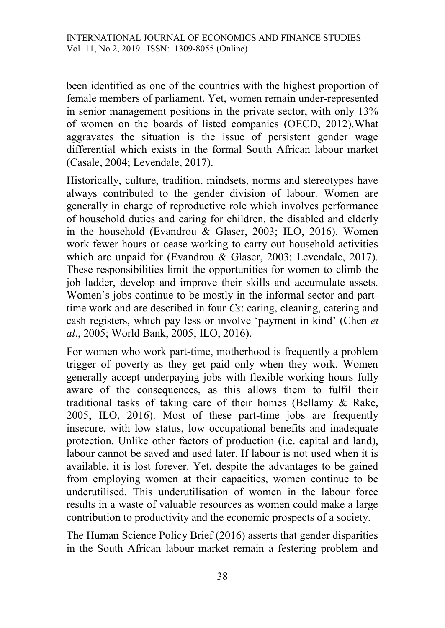been identified as one of the countries with the highest proportion of female members of parliament. Yet, women remain under-represented in senior management positions in the private sector, with only 13% of women on the boards of listed companies (OECD, 2012).What aggravates the situation is the issue of persistent gender wage differential which exists in the formal South African labour market (Casale, 2004; Levendale, 2017).

Historically, culture, tradition, mindsets, norms and stereotypes have always contributed to the gender division of labour. Women are generally in charge of reproductive role which involves performance of household duties and caring for children, the disabled and elderly in the household (Evandrou & Glaser, 2003; ILO, 2016). Women work fewer hours or cease working to carry out household activities which are unpaid for (Evandrou & Glaser, 2003; Levendale, 2017). These responsibilities limit the opportunities for women to climb the job ladder, develop and improve their skills and accumulate assets. Women's jobs continue to be mostly in the informal sector and parttime work and are described in four *Cs*: caring, cleaning, catering and cash registers, which pay less or involve 'payment in kind' (Chen *et al*., 2005; World Bank, 2005; ILO, 2016).

For women who work part-time, motherhood is frequently a problem trigger of poverty as they get paid only when they work. Women generally accept underpaying jobs with flexible working hours fully aware of the consequences, as this allows them to fulfil their traditional tasks of taking care of their homes (Bellamy & Rake, 2005; ILO, 2016). Most of these part-time jobs are frequently insecure, with low status, low occupational benefits and inadequate protection. Unlike other factors of production (i.e. capital and land), labour cannot be saved and used later. If labour is not used when it is available, it is lost forever. Yet, despite the advantages to be gained from employing women at their capacities, women continue to be underutilised. This underutilisation of women in the labour force results in a waste of valuable resources as women could make a large contribution to productivity and the economic prospects of a society.

The Human Science Policy Brief (2016) asserts that gender disparities in the South African labour market remain a festering problem and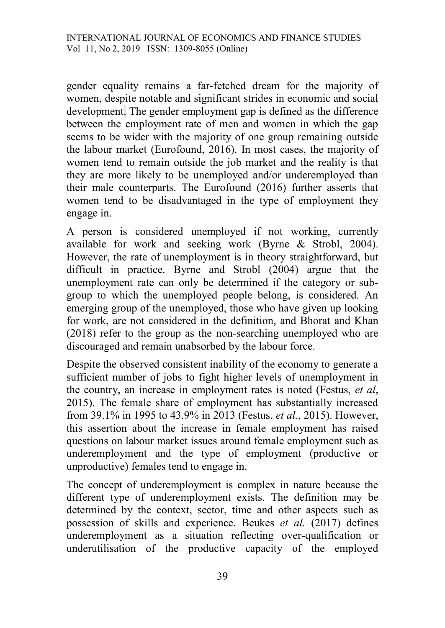gender equality remains a far-fetched dream for the majority of women, despite notable and significant strides in economic and social development. The gender employment gap is defined as the difference between the employment rate of men and women in which the gap seems to be wider with the majority of one group remaining outside the labour market (Eurofound, 2016). In most cases, the majority of women tend to remain outside the job market and the reality is that they are more likely to be unemployed and/or underemployed than their male counterparts. The Eurofound (2016) further asserts that women tend to be disadvantaged in the type of employment they engage in.

A person is considered unemployed if not working, currently available for work and seeking work (Byrne & Strobl, 2004). However, the rate of unemployment is in theory straightforward, but difficult in practice. Byrne and Strobl (2004) argue that the unemployment rate can only be determined if the category or subgroup to which the unemployed people belong, is considered. An emerging group of the unemployed, those who have given up looking for work, are not considered in the definition, and Bhorat and Khan (2018) refer to the group as the non-searching unemployed who are discouraged and remain unabsorbed by the labour force.

Despite the observed consistent inability of the economy to generate a sufficient number of jobs to fight higher levels of unemployment in the country, an increase in employment rates is noted (Festus, *et al*, 2015). The female share of employment has substantially increased from 39.1% in 1995 to 43.9% in 2013 (Festus, *et al.*, 2015). However, this assertion about the increase in female employment has raised questions on labour market issues around female employment such as underemployment and the type of employment (productive or unproductive) females tend to engage in.

The concept of underemployment is complex in nature because the different type of underemployment exists. The definition may be determined by the context, sector, time and other aspects such as possession of skills and experience. Beukes *et al.* (2017) defines underemployment as a situation reflecting over-qualification or underutilisation of the productive capacity of the employed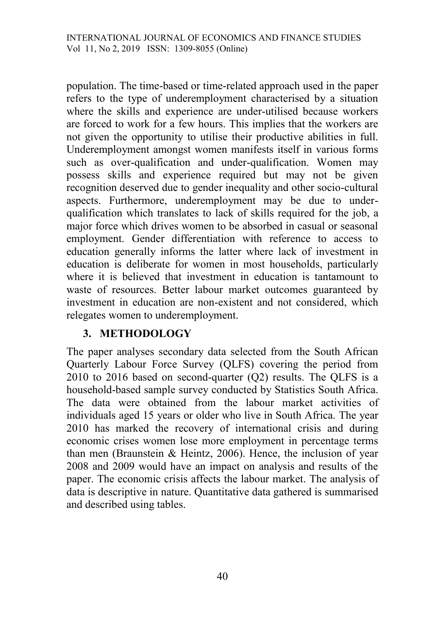population. The time-based or time-related approach used in the paper refers to the type of underemployment characterised by a situation where the skills and experience are under-utilised because workers are forced to work for a few hours. This implies that the workers are not given the opportunity to utilise their productive abilities in full. Underemployment amongst women manifests itself in various forms such as over-qualification and under-qualification. Women may possess skills and experience required but may not be given recognition deserved due to gender inequality and other socio-cultural aspects. Furthermore, underemployment may be due to underqualification which translates to lack of skills required for the job, a major force which drives women to be absorbed in casual or seasonal employment. Gender differentiation with reference to access to education generally informs the latter where lack of investment in education is deliberate for women in most households, particularly where it is believed that investment in education is tantamount to waste of resources. Better labour market outcomes guaranteed by investment in education are non-existent and not considered, which relegates women to underemployment.

## **3. METHODOLOGY**

The paper analyses secondary data selected from the South African Quarterly Labour Force Survey (QLFS) covering the period from 2010 to 2016 based on second-quarter (Q2) results. The QLFS is a household-based sample survey conducted by Statistics South Africa. The data were obtained from the labour market activities of individuals aged 15 years or older who live in South Africa. The year 2010 has marked the recovery of international crisis and during economic crises women lose more employment in percentage terms than men (Braunstein & Heintz, 2006). Hence, the inclusion of year 2008 and 2009 would have an impact on analysis and results of the paper. The economic crisis affects the labour market. The analysis of data is descriptive in nature. Quantitative data gathered is summarised and described using tables.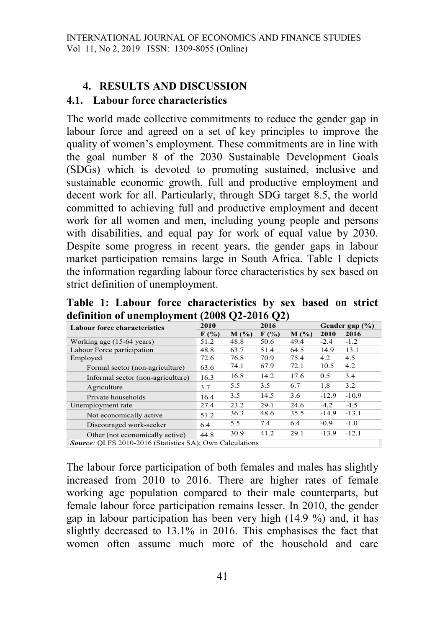# **4. RESULTS AND DISCUSSION**

### **4.1. Labour force characteristics**

The world made collective commitments to reduce the gender gap in labour force and agreed on a set of key principles to improve the quality of women's employment. These commitments are in line with the goal number 8 of the 2030 Sustainable Development Goals (SDGs) which is devoted to promoting sustained, inclusive and sustainable economic growth, full and productive employment and decent work for all. Particularly, through SDG target 8.5, the world committed to achieving full and productive employment and decent work for all women and men, including young people and persons with disabilities, and equal pay for work of equal value by 2030. Despite some progress in recent years, the gender gaps in labour market participation remains large in South Africa. Table 1 depicts the information regarding labour force characteristics by sex based on strict definition of unemployment.

**Table 1: Labour force characteristics by sex based on strict definition of unemployment (2008 Q2-2016 Q2)** 

| $\cdot$                                                         |         | ∼       | ∼       |         |                |         |  |  |
|-----------------------------------------------------------------|---------|---------|---------|---------|----------------|---------|--|--|
| <b>Labour force characteristics</b>                             | 2010    |         | 2016    |         | Gender gap (%) |         |  |  |
|                                                                 | $F(\%)$ | $M($ %) | $F(\%)$ | $M($ %) | 2010           | 2016    |  |  |
| Working age (15-64 years)                                       | 51.2    | 48.8    | 50.6    | 49.4    | $-2.4$         | $-1.2$  |  |  |
| Labour Force participation                                      | 48.8    | 63.7    | 51.4    | 64.5    | 14.9           | 13.1    |  |  |
| Employed                                                        | 72.6    | 76.8    | 70.9    | 75.4    | 4.2            | 4.5     |  |  |
| Formal sector (non-agriculture)                                 | 63.6    | 74.1    | 67.9    | 72.1    | 10.5           | 4.2     |  |  |
| Informal sector (non-agriculture)                               | 16.3    | 16.8    | 14.2    | 17.6    | 0.5            | 3.4     |  |  |
| Agriculture                                                     | 3.7     | 5.5     | 3.5     | 6.7     | 1.8            | 3.2     |  |  |
| Private households                                              | 16.4    | 3.5     | 14.5    | 3.6     | $-12.9$        | $-10.9$ |  |  |
| Unemployment rate                                               | 27.4    | 23.2    | 29.1    | 24.6    | $-4.2$         | $-4.5$  |  |  |
| Not economically active                                         | 51.2    | 36.3    | 48.6    | 35.5    | $-14.9$        | $-13.1$ |  |  |
| Discouraged work-seeker                                         | 6.4     | 5.5     | 7.4     | 6.4     | $-0.9$         | $-1.0$  |  |  |
| Other (not economically active)                                 | 44.8    | 30.9    | 41.2    | 29.1    | $-13.9$        | $-12.1$ |  |  |
| <b>Source:</b> OLFS 2010-2016 (Statistics SA); Own Calculations |         |         |         |         |                |         |  |  |

The labour force participation of both females and males has slightly increased from 2010 to 2016. There are higher rates of female working age population compared to their male counterparts, but female labour force participation remains lesser. In 2010, the gender gap in labour participation has been very high (14.9 %) and, it has slightly decreased to 13.1% in 2016. This emphasises the fact that women often assume much more of the household and care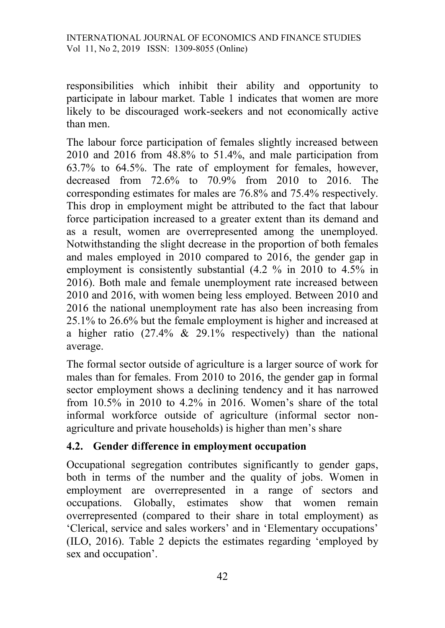responsibilities which inhibit their ability and opportunity to participate in labour market. Table 1 indicates that women are more likely to be discouraged work-seekers and not economically active than men.

The labour force participation of females slightly increased between 2010 and 2016 from 48.8% to 51.4%, and male participation from 63.7% to 64.5%. The rate of employment for females, however, decreased from 72.6% to 70.9% from 2010 to 2016. The corresponding estimates for males are 76.8% and 75.4% respectively. This drop in employment might be attributed to the fact that labour force participation increased to a greater extent than its demand and as a result, women are overrepresented among the unemployed. Notwithstanding the slight decrease in the proportion of both females and males employed in 2010 compared to 2016, the gender gap in employment is consistently substantial (4.2 % in 2010 to 4.5% in 2016). Both male and female unemployment rate increased between 2010 and 2016, with women being less employed. Between 2010 and 2016 the national unemployment rate has also been increasing from 25.1% to 26.6% but the female employment is higher and increased at a higher ratio (27.4% & 29.1% respectively) than the national average.

The formal sector outside of agriculture is a larger source of work for males than for females. From 2010 to 2016, the gender gap in formal sector employment shows a declining tendency and it has narrowed from 10.5% in 2010 to 4.2% in 2016. Women's share of the total informal workforce outside of agriculture (informal sector nonagriculture and private households) is higher than men's share

## **4.2. Gender d**i**fference in employment occupation**

Occupational segregation contributes significantly to gender gaps, both in terms of the number and the quality of jobs. Women in employment are overrepresented in a range of sectors and occupations. Globally, estimates show that women remain overrepresented (compared to their share in total employment) as 'Clerical, service and sales workers' and in 'Elementary occupations' (ILO, 2016). Table 2 depicts the estimates regarding 'employed by sex and occupation'.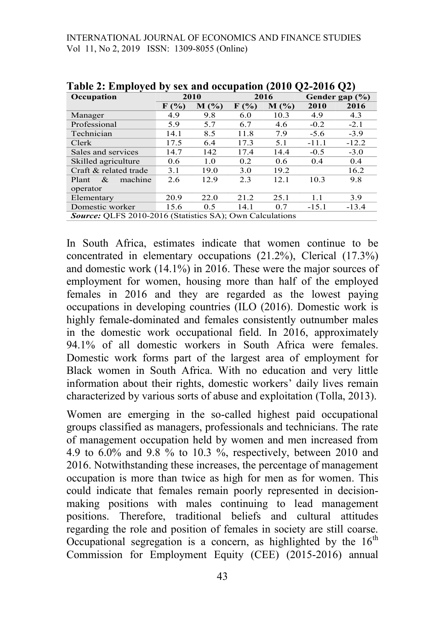INTERNATIONAL JOURNAL OF ECONOMICS AND FINANCE STUDIES Vol 11, No 2, 2019 ISSN: 1309-8055 (Online)

| Occupation                                                      |                             | 2010    | 2016               |      | Gender gap (%) |         |  |  |
|-----------------------------------------------------------------|-----------------------------|---------|--------------------|------|----------------|---------|--|--|
|                                                                 | $\mathbf{F}(\mathcal{V}_0)$ | $M($ %) | $F(\%)$<br>$M(\%)$ |      | 2010           | 2016    |  |  |
| Manager                                                         | 4.9                         | 9.8     | 6.0                | 10.3 | 4.9            | 4.3     |  |  |
| Professional                                                    | 5.9                         | 5.7     | 6.7                | 4.6  | $-0.2$         | $-2.1$  |  |  |
| Technician                                                      | 14.1                        | 8.5     | 11.8               | 7.9  | $-5.6$         | $-3.9$  |  |  |
| Clerk                                                           | 17.5                        | 6.4     | 17.3               | 5.1  | $-11.1$        | $-12.2$ |  |  |
| Sales and services                                              | 14.7                        | 142     | 17.4               | 14.4 | $-0.5$         | $-3.0$  |  |  |
| Skilled agriculture                                             | 0.6                         | 1.0     | 0.2                | 0.6  | 0.4            | 0.4     |  |  |
| Craft & related trade                                           | 3.1                         | 19.0    | 3.0                | 19.2 |                | 16.2    |  |  |
| machine<br>Plant<br>$\&$                                        | 2.6                         | 12.9    | 2.3                | 12.1 | 10.3           | 9.8     |  |  |
| operator                                                        |                             |         |                    |      |                |         |  |  |
| Elementary                                                      | 20.9                        | 22.0    | 21.2               | 25.1 | 1.1            | 3.9     |  |  |
| Domestic worker                                                 | 15.6                        | 0.5     | 14.1               | 0.7  | $-15.1$        | $-13.4$ |  |  |
| <b>Source:</b> QLFS 2010-2016 (Statistics SA); Own Calculations |                             |         |                    |      |                |         |  |  |

**Table 2: Employed by sex and occupation (2010 Q2-2016 Q2)**

In South Africa, estimates indicate that women continue to be concentrated in elementary occupations (21.2%), Clerical (17.3%) and domestic work (14.1%) in 2016. These were the major sources of employment for women, housing more than half of the employed females in 2016 and they are regarded as the lowest paying occupations in developing countries (ILO (2016). Domestic work is highly female-dominated and females consistently outnumber males in the domestic work occupational field. In 2016, approximately 94.1% of all domestic workers in South Africa were females. Domestic work forms part of the largest area of employment for Black women in South Africa. With no education and very little information about their rights, domestic workers' daily lives remain characterized by various sorts of abuse and exploitation (Tolla, 2013).

Women are emerging in the so-called highest paid occupational groups classified as managers, professionals and technicians. The rate of management occupation held by women and men increased from 4.9 to 6.0% and 9.8 % to 10.3 %, respectively, between 2010 and 2016. Notwithstanding these increases, the percentage of management occupation is more than twice as high for men as for women. This could indicate that females remain poorly represented in decisionmaking positions with males continuing to lead management positions. Therefore, traditional beliefs and cultural attitudes regarding the role and position of females in society are still coarse. Occupational segregation is a concern, as highlighted by the  $16<sup>th</sup>$ Commission for Employment Equity (CEE) (2015-2016) annual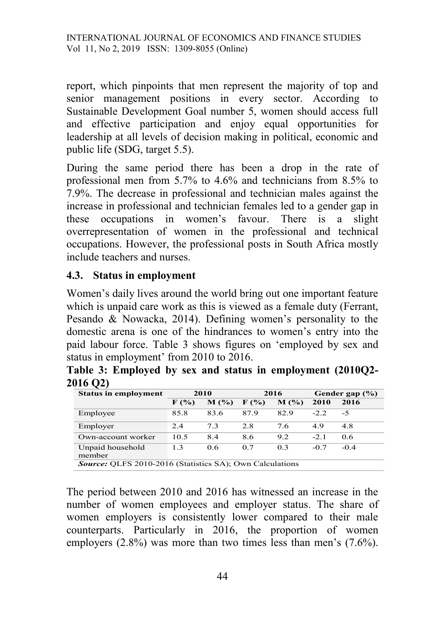report, which pinpoints that men represent the majority of top and senior management positions in every sector. According to Sustainable Development Goal number 5, women should access full and effective participation and enjoy equal opportunities for leadership at all levels of decision making in political, economic and public life (SDG, target 5.5).

During the same period there has been a drop in the rate of professional men from 5.7% to 4.6% and technicians from 8.5% to 7.9%. The decrease in professional and technician males against the increase in professional and technician females led to a gender gap in these occupations in women's favour. There is a slight overrepresentation of women in the professional and technical occupations. However, the professional posts in South Africa mostly include teachers and nurses.

### **4.3. Status in employment**

Women's daily lives around the world bring out one important feature which is unpaid care work as this is viewed as a female duty (Ferrant, Pesando & Nowacka, 2014). Defining women's personality to the domestic arena is one of the hindrances to women's entry into the paid labour force. Table 3 shows figures on 'employed by sex and status in employment' from 2010 to 2016.

|          |  |  |  | Table 3: Employed by sex and status in employment (2010Q2- |  |
|----------|--|--|--|------------------------------------------------------------|--|
| 2016 Q2) |  |  |  |                                                            |  |

| <b>Status in employment</b>                                     | 2010 |            |                  | 2016       | Gender gap (%) |        |  |  |
|-----------------------------------------------------------------|------|------------|------------------|------------|----------------|--------|--|--|
|                                                                 | F(%) | $M($ % $)$ | $\mathbf{F}$ (%) | $M($ % $)$ | 2010           | 2016   |  |  |
| Employee                                                        | 85.8 | 83.6       | 87.9             | 82.9       | $-2.2$         | -5     |  |  |
| Employer                                                        | 2.4  | 7.3        | 2.8              | 7.6        | 4.9            | 4.8    |  |  |
| Own-account worker                                              | 10.5 | 8.4        | 8.6              | 9.2        | $-2.1$         | 0.6    |  |  |
| Unpaid household<br>member                                      | 1.3  | 0.6        | 0.7              | 0.3        | $-0.7$         | $-0.4$ |  |  |
| <b>Source:</b> OLFS 2010-2016 (Statistics SA); Own Calculations |      |            |                  |            |                |        |  |  |

The period between 2010 and 2016 has witnessed an increase in the number of women employees and employer status. The share of women employers is consistently lower compared to their male counterparts. Particularly in 2016, the proportion of women employers (2.8%) was more than two times less than men's (7.6%).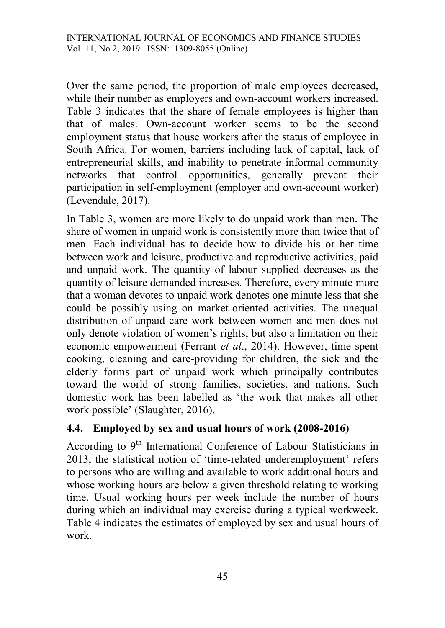Over the same period, the proportion of male employees decreased, while their number as employers and own-account workers increased. Table 3 indicates that the share of female employees is higher than that of males. Own-account worker seems to be the second employment status that house workers after the status of employee in South Africa. For women, barriers including lack of capital, lack of entrepreneurial skills, and inability to penetrate informal community networks that control opportunities, generally prevent their participation in self-employment (employer and own-account worker) (Levendale, 2017).

In Table 3, women are more likely to do unpaid work than men. The share of women in unpaid work is consistently more than twice that of men. Each individual has to decide how to divide his or her time between work and leisure, productive and reproductive activities, paid and unpaid work. The quantity of labour supplied decreases as the quantity of leisure demanded increases. Therefore, every minute more that a woman devotes to unpaid work denotes one minute less that she could be possibly using on market-oriented activities. The unequal distribution of unpaid care work between women and men does not only denote violation of women's rights, but also a limitation on their economic empowerment (Ferrant *et al*., 2014). However, time spent cooking, cleaning and care-providing for children, the sick and the elderly forms part of unpaid work which principally contributes toward the world of strong families, societies, and nations. Such domestic work has been labelled as 'the work that makes all other work possible' (Slaughter, 2016).

# **4.4. Employed by sex and usual hours of work (2008-2016)**

According to 9<sup>th</sup> International Conference of Labour Statisticians in 2013, the statistical notion of 'time-related underemployment' refers to persons who are willing and available to work additional hours and whose working hours are below a given threshold relating to working time. Usual working hours per week include the number of hours during which an individual may exercise during a typical workweek. Table 4 indicates the estimates of employed by sex and usual hours of work.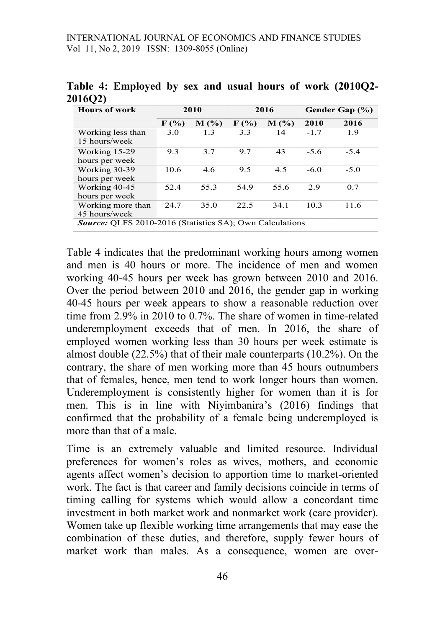| <b>Hours of work</b>                                            |         | 2010    | 2016    |         | Gender Gap (%) |        |  |  |
|-----------------------------------------------------------------|---------|---------|---------|---------|----------------|--------|--|--|
|                                                                 | $F(\%)$ | $M($ %) | $F(\%)$ | $M($ %) | 2010           | 2016   |  |  |
| Working less than                                               | 3.0     | 1.3     | 3.3     | 14      | $-1.7$         | 1.9    |  |  |
| 15 hours/week                                                   |         |         |         |         |                |        |  |  |
| Working 15-29                                                   | 9.3     | 3.7     | 9.7     | 43      | $-5.6$         | $-5.4$ |  |  |
| hours per week                                                  |         |         |         |         |                |        |  |  |
| Working 30-39                                                   | 10.6    | 4.6     | 9.5     | 4.5     | $-6.0$         | $-5.0$ |  |  |
| hours per week                                                  |         |         |         |         |                |        |  |  |
| Working 40-45                                                   | 52.4    | 55.3    | 54.9    | 55.6    | 2.9            | 0.7    |  |  |
| hours per week                                                  |         |         |         |         |                |        |  |  |
| Working more than                                               | 24.7    | 35.0    | 22.5    | 34.1    | 10.3           | 11.6   |  |  |
| 45 hours/week                                                   |         |         |         |         |                |        |  |  |
| <b>Source:</b> OLFS 2010-2016 (Statistics SA); Own Calculations |         |         |         |         |                |        |  |  |

**Table 4: Employed by sex and usual hours of work (2010Q2- 2016Q2)**

Table 4 indicates that the predominant working hours among women and men is 40 hours or more. The incidence of men and women working 40-45 hours per week has grown between 2010 and 2016. Over the period between 2010 and 2016, the gender gap in working 40-45 hours per week appears to show a reasonable reduction over time from 2.9% in 2010 to 0.7%. The share of women in time-related underemployment exceeds that of men. In 2016, the share of employed women working less than 30 hours per week estimate is almost double (22.5%) that of their male counterparts (10.2%). On the contrary, the share of men working more than 45 hours outnumbers that of females, hence, men tend to work longer hours than women. Underemployment is consistently higher for women than it is for men. This is in line with Niyimbanira's (2016) findings that confirmed that the probability of a female being underemployed is more than that of a male.

Time is an extremely valuable and limited resource. Individual preferences for women's roles as wives, mothers, and economic agents affect women's decision to apportion time to market-oriented work. The fact is that career and family decisions coincide in terms of timing calling for systems which would allow a concordant time investment in both market work and nonmarket work (care provider). Women take up flexible working time arrangements that may ease the combination of these duties, and therefore, supply fewer hours of market work than males. As a consequence, women are over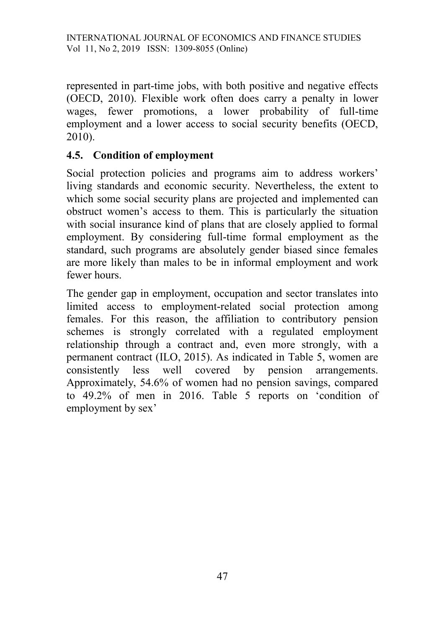represented in part-time jobs, with both positive and negative effects (OECD, 2010). Flexible work often does carry a penalty in lower wages, fewer promotions, a lower probability of full-time employment and a lower access to social security benefits (OECD, 2010).

# **4.5. Condition of employment**

Social protection policies and programs aim to address workers' living standards and economic security. Nevertheless, the extent to which some social security plans are projected and implemented can obstruct women's access to them. This is particularly the situation with social insurance kind of plans that are closely applied to formal employment. By considering full-time formal employment as the standard, such programs are absolutely gender biased since females are more likely than males to be in informal employment and work fewer hours.

The gender gap in employment, occupation and sector translates into limited access to employment-related social protection among females. For this reason, the affiliation to contributory pension schemes is strongly correlated with a regulated employment relationship through a contract and, even more strongly, with a permanent contract (ILO, 2015). As indicated in Table 5, women are consistently less well covered by pension arrangements. Approximately, 54.6% of women had no pension savings, compared to 49.2% of men in 2016. Table 5 reports on 'condition of employment by sex'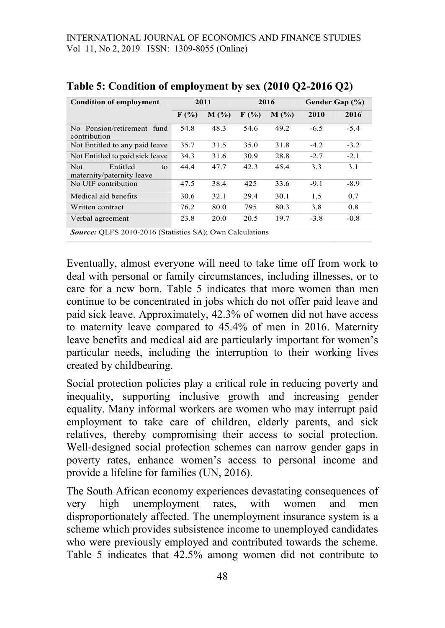| <b>Condition of employment</b>                                  | 2011 |         |                             | 2016    | Gender Gap (%) |        |  |  |
|-----------------------------------------------------------------|------|---------|-----------------------------|---------|----------------|--------|--|--|
|                                                                 | F(%) | $M($ %) | $\mathbf{F}(\mathcal{V}_0)$ | $M($ %) | 2010           | 2016   |  |  |
| No Pension/retirement fund<br>contribution                      | 54.8 | 48.3    | 54.6                        | 49.2    | $-6.5$         | $-5.4$ |  |  |
| Not Entitled to any paid leave                                  | 35.7 | 31.5    | 35.0                        | 31.8    | $-4.2$         | $-3.2$ |  |  |
| Not Entitled to paid sick leave                                 | 34.3 | 31.6    | 30.9                        | 28.8    | $-2.7$         | $-2.1$ |  |  |
| <b>Not</b><br>Entitled<br>to<br>maternity/paternity leave       | 44.4 | 47.7    | 42.3                        | 45.4    | 3.3            | 3.1    |  |  |
| No UIF contribution                                             | 47.5 | 38.4    | 425                         | 33.6    | $-9.1$         | $-8.9$ |  |  |
| Medical aid benefits                                            | 30.6 | 32.1    | 29.4                        | 30.1    | 1.5            | 0.7    |  |  |
| Written contract                                                | 76.2 | 80.0    | 795                         | 80.3    | 3.8            | 0.8    |  |  |
| Verbal agreement                                                | 23.8 | 20.0    | 20.5                        | 19.7    | $-3.8$         | $-0.8$ |  |  |
| <b>Source:</b> QLFS 2010-2016 (Statistics SA); Own Calculations |      |         |                             |         |                |        |  |  |

### **Table 5: Condition of employment by sex (2010 Q2-2016 Q2)**

Eventually, almost everyone will need to take time off from work to deal with personal or family circumstances, including illnesses, or to care for a new born. Table 5 indicates that more women than men continue to be concentrated in jobs which do not offer paid leave and paid sick leave. Approximately, 42.3% of women did not have access to maternity leave compared to 45.4% of men in 2016. Maternity leave benefits and medical aid are particularly important for women's particular needs, including the interruption to their working lives created by childbearing.

Social protection policies play a critical role in reducing poverty and inequality, supporting inclusive growth and increasing gender equality. Many informal workers are women who may interrupt paid employment to take care of children, elderly parents, and sick relatives, thereby compromising their access to social protection. Well-designed social protection schemes can narrow gender gaps in poverty rates, enhance women's access to personal income and provide a lifeline for families (UN, 2016).

The South African economy experiences devastating consequences of very high unemployment rates, with women and men disproportionately affected. The unemployment insurance system is a scheme which provides subsistence income to unemployed candidates who were previously employed and contributed towards the scheme. Table 5 indicates that 42.5% among women did not contribute to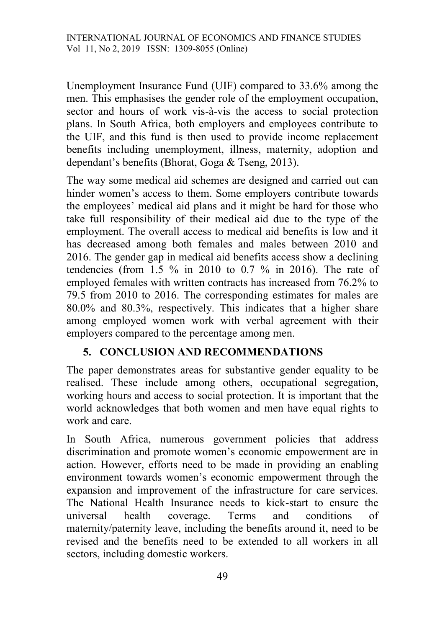Unemployment Insurance Fund (UIF) compared to 33.6% among the men. This emphasises the gender role of the employment occupation, sector and hours of work vis-à-vis the access to social protection plans. In South Africa, both employers and employees contribute to the UIF, and this fund is then used to provide income replacement benefits including unemployment, illness, maternity, adoption and dependant's benefits (Bhorat, Goga & Tseng, 2013).

The way some medical aid schemes are designed and carried out can hinder women's access to them. Some employers contribute towards the employees' medical aid plans and it might be hard for those who take full responsibility of their medical aid due to the type of the employment. The overall access to medical aid benefits is low and it has decreased among both females and males between 2010 and 2016. The gender gap in medical aid benefits access show a declining tendencies (from 1.5 % in 2010 to 0.7 % in 2016). The rate of employed females with written contracts has increased from 76.2% to 79.5 from 2010 to 2016. The corresponding estimates for males are 80.0% and 80.3%, respectively. This indicates that a higher share among employed women work with verbal agreement with their employers compared to the percentage among men.

# **5. CONCLUSION AND RECOMMENDATIONS**

The paper demonstrates areas for substantive gender equality to be realised. These include among others, occupational segregation, working hours and access to social protection. It is important that the world acknowledges that both women and men have equal rights to work and care.

In South Africa, numerous government policies that address discrimination and promote women's economic empowerment are in action. However, efforts need to be made in providing an enabling environment towards women's economic empowerment through the expansion and improvement of the infrastructure for care services. The National Health Insurance needs to kick-start to ensure the universal health coverage. Terms and conditions of maternity/paternity leave, including the benefits around it, need to be revised and the benefits need to be extended to all workers in all sectors, including domestic workers.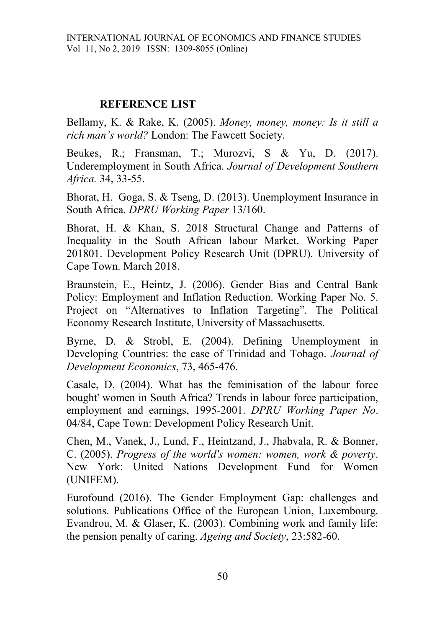### **REFERENCE LIST**

Bellamy, K. & Rake, K. (2005). *Money, money, money: Is it still a rich man's world?* London: The Fawcett Society.

Beukes, R.; Fransman, T.; Murozvi, S & Yu, D. (2017). Underemployment in South Africa. *Journal of Development Southern Africa.* 34, 33-55.

Bhorat, H. Goga, S. & Tseng, D. (2013). Unemployment Insurance in South Africa. *DPRU Working Paper* 13/160.

Bhorat, H. & Khan, S. 2018 Structural Change and Patterns of Inequality in the South African labour Market. Working Paper 201801. Development Policy Research Unit (DPRU). University of Cape Town. March 2018.

Braunstein, E., Heintz, J. (2006). Gender Bias and Central Bank Policy: Employment and Inflation Reduction. Working Paper No. 5. Project on "Alternatives to Inflation Targeting". The Political Economy Research Institute, University of Massachusetts.

Byrne, D. & Strobl, E. (2004). Defining Unemployment in Developing Countries: the case of Trinidad and Tobago. *Journal of Development Economics*, 73, 465-476.

Casale, D. (2004). What has the feminisation of the labour force bought' women in South Africa? Trends in labour force participation, employment and earnings, 1995-2001. *DPRU Working Paper No*. 04/84, Cape Town: Development Policy Research Unit.

Chen, M., Vanek, J., Lund, F., Heintzand, J., Jhabvala, R. & Bonner, C. (2005). *Progress of the world's women: women, work & poverty*. New York: United Nations Development Fund for Women (UNIFEM).

Eurofound (2016). The Gender Employment Gap: challenges and solutions. Publications Office of the European Union, Luxembourg. Evandrou, M. & Glaser, K. (2003). Combining work and family life: the pension penalty of caring. *Ageing and Society*, 23:582-60.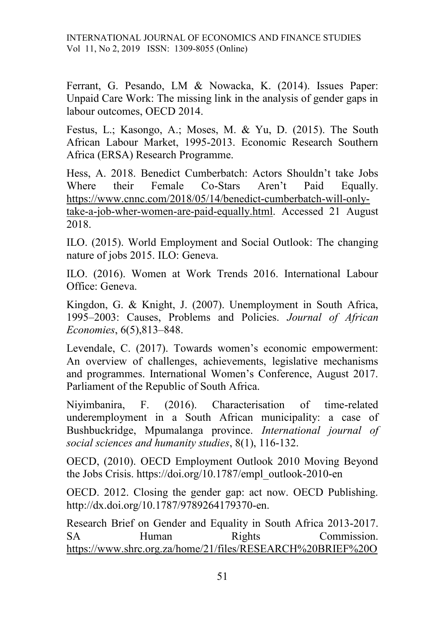Ferrant, G. Pesando, LM & Nowacka, K. (2014). Issues Paper: Unpaid Care Work: The missing link in the analysis of gender gaps in labour outcomes, OECD 2014.

Festus, L.; Kasongo, A.; Moses, M. & Yu, D. (2015). The South African Labour Market, 1995-2013. Economic Research Southern Africa (ERSA) Research Programme.

Hess, A. 2018. Benedict Cumberbatch: Actors Shouldn't take Jobs Where their Female Co-Stars Aren't Paid Equally. [https://www.cnnc.com/2018/05/14/benedict-cumberbatch-will-only](https://www.cnnc.com/2018/05/14/benedict-cumberbatch-will-only-take-a-job-wher-women-are-paid-equally.html)[take-a-job-wher-women-are-paid-equally.html.](https://www.cnnc.com/2018/05/14/benedict-cumberbatch-will-only-take-a-job-wher-women-are-paid-equally.html) Accessed 21 August 2018.

ILO. (2015). World Employment and Social Outlook: The changing nature of jobs 2015. ILO: Geneva.

ILO. (2016). Women at Work Trends 2016. International Labour Office: Geneva.

Kingdon, G. & Knight, J. (2007). Unemployment in South Africa, 1995–2003: Causes, Problems and Policies. *Journal of African Economies*, 6(5),813–848.

Levendale, C. (2017). Towards women's economic empowerment: An overview of challenges, achievements, legislative mechanisms and programmes. International Women's Conference, August 2017. Parliament of the Republic of South Africa.

Niyimbanira, F. (2016). Characterisation of time-related underemployment in a South African municipality: a case of Bushbuckridge, Mpumalanga province. *International journal of social sciences and humanity studies*, 8(1), 116-132.

OECD, (2010). OECD Employment Outlook 2010 Moving Beyond the Jobs Crisis. https://doi.org/10.1787/empl\_outlook-2010-en

OECD. 2012. Closing the gender gap: act now. OECD Publishing. http://dx.doi.org/10.1787/9789264179370-en.

Research Brief on Gender and Equality in South Africa 2013-2017. SA Human Rights Commission. [https://www.shrc.org.za/home/21/files/RESEARCH%20BRIEF%20O](https://www.shrc.org.za/home/21/files/RESEARCH%20BRIEF%20ON%20GENDER%20AND%20EQUALITY%20IN%25SOUTH%20AFRICA%202013%25TO%202017.pdf)